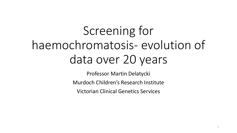# Screening for haemochromatosis- evolution of data over 20 years

Professor Martin Delatycki

Murdoch Children's Research Institute

Victorian Clinical Genetics Services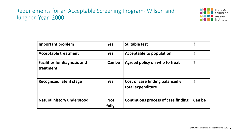

| <b>Important problem</b>                         | <b>Yes</b>          | <b>Suitable test</b>                                 | ?      |
|--------------------------------------------------|---------------------|------------------------------------------------------|--------|
| <b>Acceptable treatment</b>                      | <b>Yes</b>          | <b>Acceptable to population</b>                      | ?      |
| <b>Facilities for diagnosis and</b><br>treatment | Can be              | Agreed policy on who to treat                        | ?      |
| <b>Recognized latent stage</b>                   | <b>Yes</b>          | Cost of case finding balanced v<br>total expenditure | ?      |
| <b>Natural history understood</b>                | <b>Not</b><br>fully | <b>Continuous process of case finding</b>            | Can be |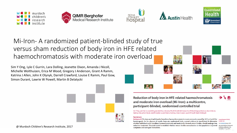









Mi-Iron- A randomized patient-blinded study of true versus sham reduction of body iron in HFE related haemochromatosis with moderate iron overload

Sim Y Ong, Lyle C Gurrin, Lara Dolling, Jeanette Dixon, Amanda J Nicoll, Michelle Wolthuizen, Erica M Wood, Gregory J Anderson, Grant A Ramm, Katrina J Allen, John K Olynyk, Darrell Crawford, Louise E Ramm, Paul Gow, Simon Durant, Lawrie W Powell, Martin B Delatycki



Reduction of body iron in HFE-related haemochromatosis and moderate iron overload (Mi-Iron): a multicentre, participant-blinded, randomised controlled trial

Sim Y Ong, Lyle C Gurrin, Lara Dolling, Jeanette Dixon, Amanda J Nicoll, Michelle Wolthuizen, Erica M Wood, Gregory J Anderson, Grant A Ramm, Katrina J Allen, John K Olynyk, Darrell Crawford, Louise E Ramm, Paul Gow, Simon Durrant, Lawrie W Powell, Martin B Delatycki

#### Summary

Background The iron overload disorder hereditary haemochromatosis is most commonly caused by HFE p.Cys282Tyr Lancet Haematol 2017: homozygosity. In the absence of results from any randomised trials, current evidence is insufficient to determine 4: e607-14 whether individuals with hereditary haemochromatosis and moderately elevated serum ferritin, should undergo iron reduction treatment. This trial aimed to establish whether serum ferritin normalisation in this population improved symptoms and surrogate biomarkers.

See Comment page e569 Murdoch Children's Resea Institute, Melbourne, VIC. **Australia (SY Ong MBBS** 

d i`€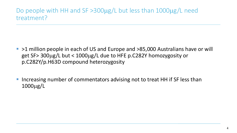### Do people with HH and SF >300µg/L but less than 1000µg/L need treatment?

- >1 million people in each of US and Europe and >85,000 Australians have or will get SF> 300µg/L but < 1000µg/L due to HFE p.C282Y homozygosity or p.C282Y/p.H63D compound heterozygosity
- Increasing number of commentators advising not to treat HH if SF less than 1000µg/L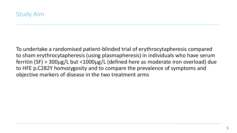To undertake a randomised patient-blinded trial of erythrocytapheresis compared to sham erythrocytapheresis (using plasmapheresis) in individuals who have serum ferritin (SF) > 300µg/L but <1000µg/L (defined here as moderate iron overload) due to HFE p.C282Y homozygosity and to compare the prevalence of symptoms and objective markers of disease in the two treatment arms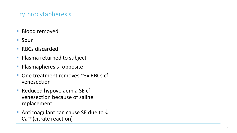### Erythrocytapheresis

- **Blood removed**
- Spun
- RBCs discarded
- **Plasma returned to subject**
- **Plasmapheresis- opposite**
- One treatment removes ~3x RBCs cf venesection
- **Reduced hypovolaemia SE cf** venesection because of saline replacement
- Anticoagulant can cause SE due to  $\downarrow$ Ca++ (citrate reaction)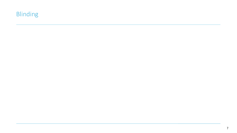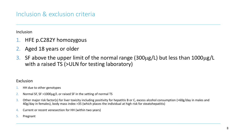Inclusion

- 1. HFE p.C282Y homozygous
- 2. Aged 18 years or older
- 3. SF above the upper limit of the normal range (300µg/L) but less than 1000µg/L with a raised TS (>ULN for testing laboratory)

#### Exclusion

- 1. HH due to other genotypes
- 2. Normal SF, SF >1000µg/L or raised SF in the setting of normal TS
- 3. Other major risk factor(s) for liver toxicity including positivity for hepatitis B or C, excess alcohol consumption (>60g/day in males and 40g/day in females), body mass index >35 (which places the individual at high risk for steatohepatitis)
- 4. Current or recent venesection for HH (within two years)
- 5. Pregnant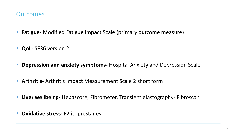

- **Fatigue-** Modified Fatigue Impact Scale (primary outcome measure)
- **QoL-** SF36 version 2
- **Depression and anxiety symptoms-** Hospital Anxiety and Depression Scale
- **Arthritis-** Arthritis Impact Measurement Scale 2 short form
- **Liver wellbeing-** Hepascore, Fibrometer, Transient elastography- Fibroscan
- **Oxidative stress-** F2 isoprostanes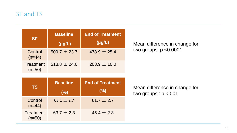### SF and TS

| <b>SF</b>                    | <b>Baseline</b><br>$(\mu g/L)$ | <b>End of Treatment</b><br>$(\mu g/L)$ |
|------------------------------|--------------------------------|----------------------------------------|
| Control<br>$(n=44)$          | $509.7 \pm 23.7$               | $478.9 \pm 25.4$                       |
| <b>Treatment</b><br>$(n=50)$ | $518.8 \pm 24.6$               | $203.9 \pm 10.0$                       |

Mean difference in change for two groups: p <0.0001

| <b>TS</b>                    | <b>Baseline</b><br>(%) | <b>End of Treatment</b><br>(%) |
|------------------------------|------------------------|--------------------------------|
| Control<br>$(n=44)$          | $63.1 \pm 2.7$         | $61.7 \pm 2.7$                 |
| <b>Treatment</b><br>$(n=50)$ | $63.7 \pm 2.3$         | $45.4 \pm 2.3$                 |

Mean difference in change for two groups : p <0.01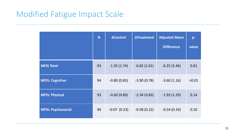### Modified Fatigue Impact Scale

|                           | N  | <b>AControl</b>  | <b>ATreatment</b> | <b>Adjusted Mean</b><br><b>Difference</b> | p-<br>value |
|---------------------------|----|------------------|-------------------|-------------------------------------------|-------------|
|                           |    |                  |                   |                                           |             |
| <b>MFIS Total</b>         | 93 | $-1.35(1.74)$    | $-6.82(1.61)$     | $-6.25(2.46)$                             | 0.01        |
| <b>MFIS: Cognitive</b>    | 94 | $-0.80(0.83)$    | $-3.90(0.78)$     | $-3.60(1.16)$                             | < 0.01      |
| <b>MFIS: Physical</b>     | 93 | $-0.60(0.89)$    | $-2.34(0.83)$     | $-1.93(1.29)$                             | 0.14        |
| <b>MFIS: Psychosocial</b> | 94 | $-0.07$ $(0.23)$ | $-0.58(0.22)$     | $-0.54(0.33)$                             | 0.10        |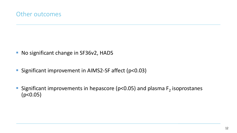- No significant change in SF36v2, HADS
- Significant improvement in AIMS2-SF affect (p<0.03)
- Significant improvements in hepascore ( $p$ <0.05) and plasma  $F<sub>2</sub>$  isoprostanes (p<0.05)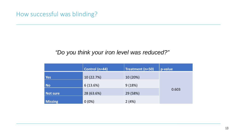### How successful was blinding?

#### *"Do you think your iron level was reduced?"*

|                | Control (n=44) | Treatment (n=50) | p-value |
|----------------|----------------|------------------|---------|
| <b>Yes</b>     | 10 (22.7%)     | 10 (20%)         |         |
| No             | 6(13.6%)       | 9(18%)           |         |
| Not sure       | 28 (63.6%)     | 29 (58%)         | 0.603   |
| <b>Missing</b> | $0(0\%)$       | 2(4%)            |         |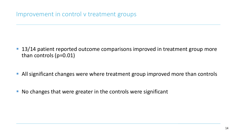- 13/14 patient reported outcome comparisons improved in treatment group more than controls (p=0.01)
- **All significant changes were where treatment group improved more than controls**
- No changes that were greater in the controls were significant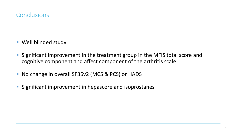

- **Well blinded study**
- **Significant improvement in the treatment group in the MFIS total score and** cognitive component and affect component of the arthritis scale
- No change in overall SF36v2 (MCS & PCS) or HADS
- **Significant improvement in hepascore and isoprostanes**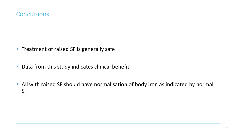- **Treatment of raised SF is generally safe**
- Data from this study indicates clinical benefit
- All with raised SF should have normalisation of body iron as indicated by normal SF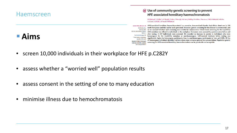#### Haemscreen

### **Aims**

#### $\omega$  Use of community genetic screening to prevent HFE-associated hereditary haemochromatosis

M B Delatycki\*, K J Allen\*, A E Nisselle, V Collins, S Metcalfe, D du Sart, J Halliday, M A Aitken, I Macciocca, V Hill, A Wakefield, A Ritchie, A A Gason, A J Nicoll, L W Powell, R Williamson

Lancet 2005; 366: 314-16 **Published online** April 26, 2005 DOI 10.1016/S0140-6736(05) 63012-7 See Comment page 269 \*These authors contributed equally to this work Murdoch Children's Research Institute, Parkville, Australia (M B Delatycki FRACP,

HFE-associated hereditary haemochromatosis is a recessive, iron-overload disorder that affects about one in 200 north Europeans and that can be easily prevented. However, genetic screening for this disease is controversial, and so we assessed whether such screening was suitable for communities. Cheek-brush screening for the Cys282Tyr HFE mutation was offered to individuals in the workplace. Outcomes were assessed by questionnaires before and after testing. 11 307 individuals were screened. We recorded no increase in anxiety in individuals who were homozygous for the Cys282Tyr mutation or non-homozygous. Self-reported tiredness before testing was significantly higher in homozygous participants than in non-homozygous participants ( $\chi^2$  test, p=0.029). Of the 47 homozygous individuals identified, 46 have taken steps to treat or prevent iron accumulation. Population genetic screening for HFE-associated hereditary haemochromatosis can be practicable and acceptable.

- screen 10,000 individuals in their workplace for HFE p.C282Y
- assess whether a "worried well" population results
- assess consent in the setting of one to many education
- minimise illness due to hemochromatosis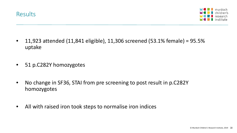

- 11,923 attended (11,841 eligible), 11,306 screened (53.1% female) = 95.5% uptake
- 51 p.C282Y homozygotes
- No change in SF36, STAI from pre screening to post result in p.C282Y homozygotes
- All with raised iron took steps to normalise iron indices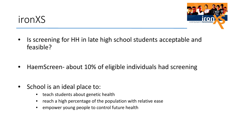# ironXS



- Is screening for HH in late high school students acceptable and feasible?
- HaemScreen- about 10% of eligible individuals had screening
- School is an ideal place to:
	- teach students about genetic health
	- reach a high percentage of the population with relative ease
	- empower young people to control future health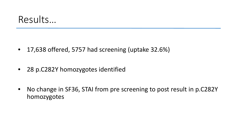## Results…

- 17,638 offered, 5757 had screening (uptake 32.6%)
- 28 p.C282Y homozygotes identified
- No change in SF36, STAI from pre screening to post result in p.C282Y homozygotes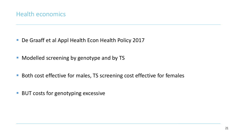- De Graaff et al Appl Health Econ Health Policy 2017
- **Modelled screening by genotype and by TS**
- Both cost effective for males, TS screening cost effective for females
- **BUT costs for genotyping excessive**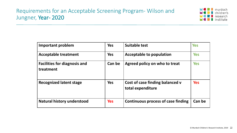#### Requirements for an Acceptable Screening Program- Wilson and Jungner, Year- 2020



| <b>Important problem</b>                         | <b>Yes</b> | <b>Suitable test</b>                                 | <b>Yes</b> |
|--------------------------------------------------|------------|------------------------------------------------------|------------|
| <b>Acceptable treatment</b>                      | <b>Yes</b> | <b>Acceptable to population</b>                      | <b>Yes</b> |
| <b>Facilities for diagnosis and</b><br>treatment | Can be     | Agreed policy on who to treat                        | <b>Yes</b> |
| <b>Recognized latent stage</b>                   | <b>Yes</b> | Cost of case finding balanced v<br>total expenditure | <b>Yes</b> |
| <b>Natural history understood</b>                | <b>Yes</b> | Continuous process of case finding                   | Can be     |